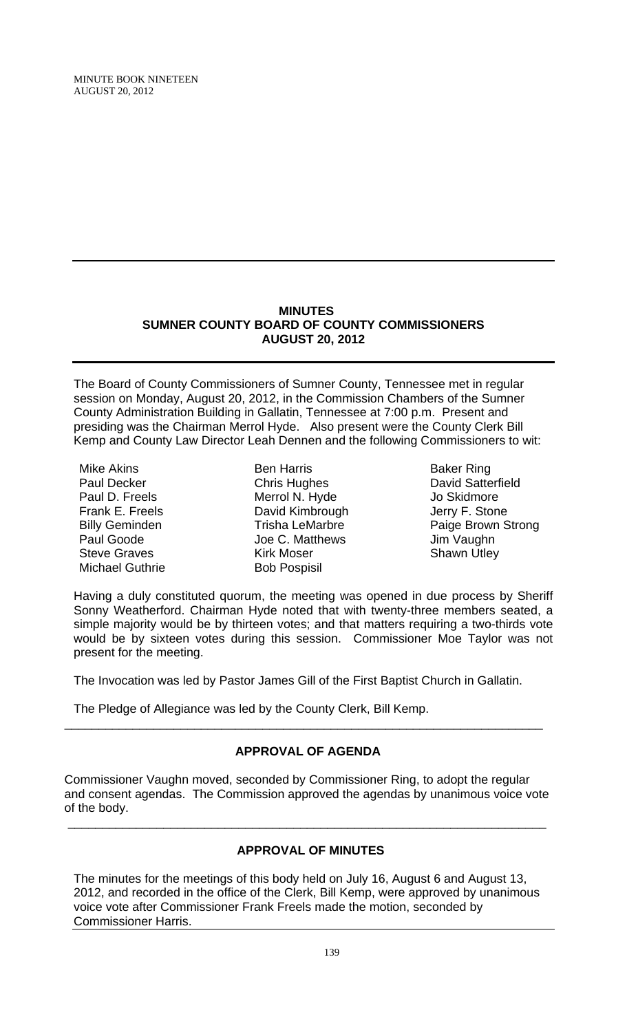## **MINUTES SUMNER COUNTY BOARD OF COUNTY COMMISSIONERS AUGUST 20, 2012**

The Board of County Commissioners of Sumner County, Tennessee met in regular session on Monday, August 20, 2012, in the Commission Chambers of the Sumner County Administration Building in Gallatin, Tennessee at 7:00 p.m. Present and presiding was the Chairman Merrol Hyde. Also present were the County Clerk Bill Kemp and County Law Director Leah Dennen and the following Commissioners to wit:

Mike Akins Paul Decker Paul D. Freels Frank E. Freels Billy Geminden Paul Goode Steve Graves Michael Guthrie

Ben Harris Chris Hughes Merrol N. Hyde David Kimbrough Trisha LeMarbre Joe C. Matthews Kirk Moser Bob Pospisil

Baker Ring David Satterfield Jo Skidmore Jerry F. Stone Paige Brown Strong Jim Vaughn Shawn Utley

Having a duly constituted quorum, the meeting was opened in due process by Sheriff Sonny Weatherford. Chairman Hyde noted that with twenty-three members seated, a simple majority would be by thirteen votes; and that matters requiring a two-thirds vote would be by sixteen votes during this session. Commissioner Moe Taylor was not present for the meeting.

The Invocation was led by Pastor James Gill of the First Baptist Church in Gallatin.

The Pledge of Allegiance was led by the County Clerk, Bill Kemp.

# **APPROVAL OF AGENDA**

\_\_\_\_\_\_\_\_\_\_\_\_\_\_\_\_\_\_\_\_\_\_\_\_\_\_\_\_\_\_\_\_\_\_\_\_\_\_\_\_\_\_\_\_\_\_\_\_\_\_\_\_\_\_\_\_\_\_\_\_\_\_\_\_\_\_\_\_\_\_

Commissioner Vaughn moved, seconded by Commissioner Ring, to adopt the regular and consent agendas. The Commission approved the agendas by unanimous voice vote of the body.

\_\_\_\_\_\_\_\_\_\_\_\_\_\_\_\_\_\_\_\_\_\_\_\_\_\_\_\_\_\_\_\_\_\_\_\_\_\_\_\_\_\_\_\_\_\_\_\_\_\_\_\_\_\_\_\_\_\_\_\_\_\_\_\_\_\_\_\_\_\_

# **APPROVAL OF MINUTES**

The minutes for the meetings of this body held on July 16, August 6 and August 13, 2012, and recorded in the office of the Clerk, Bill Kemp, were approved by unanimous voice vote after Commissioner Frank Freels made the motion, seconded by Commissioner Harris.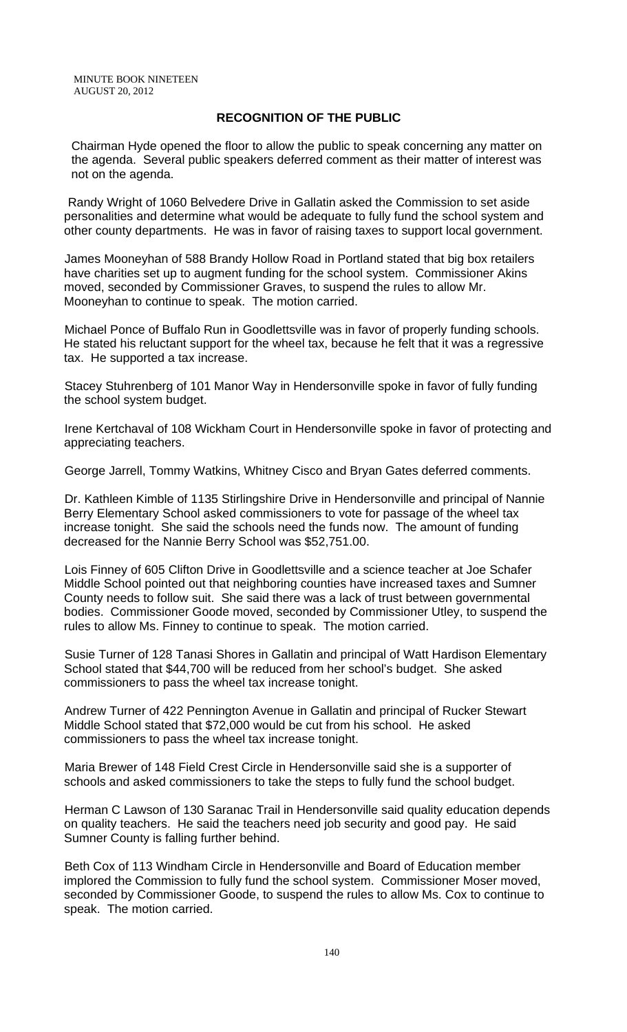## **RECOGNITION OF THE PUBLIC**

 Chairman Hyde opened the floor to allow the public to speak concerning any matter on the agenda. Several public speakers deferred comment as their matter of interest was not on the agenda.

 Randy Wright of 1060 Belvedere Drive in Gallatin asked the Commission to set aside personalities and determine what would be adequate to fully fund the school system and other county departments. He was in favor of raising taxes to support local government.

James Mooneyhan of 588 Brandy Hollow Road in Portland stated that big box retailers have charities set up to augment funding for the school system. Commissioner Akins moved, seconded by Commissioner Graves, to suspend the rules to allow Mr. Mooneyhan to continue to speak. The motion carried.

Michael Ponce of Buffalo Run in Goodlettsville was in favor of properly funding schools. He stated his reluctant support for the wheel tax, because he felt that it was a regressive tax. He supported a tax increase.

Stacey Stuhrenberg of 101 Manor Way in Hendersonville spoke in favor of fully funding the school system budget.

Irene Kertchaval of 108 Wickham Court in Hendersonville spoke in favor of protecting and appreciating teachers.

George Jarrell, Tommy Watkins, Whitney Cisco and Bryan Gates deferred comments.

Dr. Kathleen Kimble of 1135 Stirlingshire Drive in Hendersonville and principal of Nannie Berry Elementary School asked commissioners to vote for passage of the wheel tax increase tonight. She said the schools need the funds now. The amount of funding decreased for the Nannie Berry School was \$52,751.00.

Lois Finney of 605 Clifton Drive in Goodlettsville and a science teacher at Joe Schafer Middle School pointed out that neighboring counties have increased taxes and Sumner County needs to follow suit. She said there was a lack of trust between governmental bodies. Commissioner Goode moved, seconded by Commissioner Utley, to suspend the rules to allow Ms. Finney to continue to speak. The motion carried.

Susie Turner of 128 Tanasi Shores in Gallatin and principal of Watt Hardison Elementary School stated that \$44,700 will be reduced from her school's budget. She asked commissioners to pass the wheel tax increase tonight.

Andrew Turner of 422 Pennington Avenue in Gallatin and principal of Rucker Stewart Middle School stated that \$72,000 would be cut from his school. He asked commissioners to pass the wheel tax increase tonight.

Maria Brewer of 148 Field Crest Circle in Hendersonville said she is a supporter of schools and asked commissioners to take the steps to fully fund the school budget.

Herman C Lawson of 130 Saranac Trail in Hendersonville said quality education depends on quality teachers. He said the teachers need job security and good pay. He said Sumner County is falling further behind.

Beth Cox of 113 Windham Circle in Hendersonville and Board of Education member implored the Commission to fully fund the school system. Commissioner Moser moved, seconded by Commissioner Goode, to suspend the rules to allow Ms. Cox to continue to speak. The motion carried.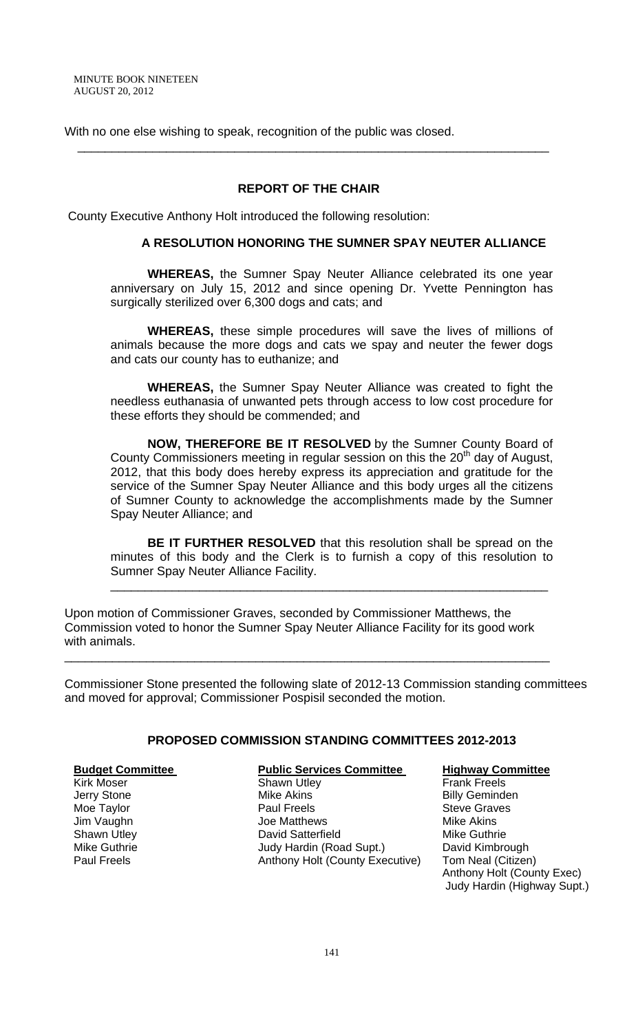With no one else wishing to speak, recognition of the public was closed.

## **REPORT OF THE CHAIR**

\_\_\_\_\_\_\_\_\_\_\_\_\_\_\_\_\_\_\_\_\_\_\_\_\_\_\_\_\_\_\_\_\_\_\_\_\_\_\_\_\_\_\_\_\_\_\_\_\_\_\_\_\_\_\_\_\_\_\_\_\_\_\_\_\_\_\_\_\_

County Executive Anthony Holt introduced the following resolution:

#### **A RESOLUTION HONORING THE SUMNER SPAY NEUTER ALLIANCE**

 **WHEREAS,** the Sumner Spay Neuter Alliance celebrated its one year anniversary on July 15, 2012 and since opening Dr. Yvette Pennington has surgically sterilized over 6,300 dogs and cats; and

**WHEREAS,** these simple procedures will save the lives of millions of animals because the more dogs and cats we spay and neuter the fewer dogs and cats our county has to euthanize; and

**WHEREAS,** the Sumner Spay Neuter Alliance was created to fight the needless euthanasia of unwanted pets through access to low cost procedure for these efforts they should be commended; and

**NOW, THEREFORE BE IT RESOLVED** by the Sumner County Board of County Commissioners meeting in regular session on this the  $20<sup>th</sup>$  day of August, 2012, that this body does hereby express its appreciation and gratitude for the service of the Sumner Spay Neuter Alliance and this body urges all the citizens of Sumner County to acknowledge the accomplishments made by the Sumner Spay Neuter Alliance; and

**BE IT FURTHER RESOLVED** that this resolution shall be spread on the minutes of this body and the Clerk is to furnish a copy of this resolution to Sumner Spay Neuter Alliance Facility. \_\_\_\_\_\_\_\_\_\_\_\_\_\_\_\_\_\_\_\_\_\_\_\_\_\_\_\_\_\_\_\_\_\_\_\_\_\_\_\_\_\_\_\_\_\_\_\_\_\_\_\_\_\_\_\_\_\_\_\_\_\_\_\_

Upon motion of Commissioner Graves, seconded by Commissioner Matthews, the Commission voted to honor the Sumner Spay Neuter Alliance Facility for its good work with animals.

\_\_\_\_\_\_\_\_\_\_\_\_\_\_\_\_\_\_\_\_\_\_\_\_\_\_\_\_\_\_\_\_\_\_\_\_\_\_\_\_\_\_\_\_\_\_\_\_\_\_\_\_\_\_\_\_\_\_\_\_\_\_\_\_\_\_\_\_\_\_\_

Commissioner Stone presented the following slate of 2012-13 Commission standing committees and moved for approval; Commissioner Pospisil seconded the motion.

## **PROPOSED COMMISSION STANDING COMMITTEES 2012-2013**

| <b>Budget Committee</b> | <b>Public Services Committee</b> | <b>Highway Committee</b>    |
|-------------------------|----------------------------------|-----------------------------|
| <b>Kirk Moser</b>       | <b>Shawn Utley</b>               | <b>Frank Freels</b>         |
| Jerry Stone             | <b>Mike Akins</b>                | <b>Billy Geminden</b>       |
| Moe Taylor              | <b>Paul Freels</b>               | <b>Steve Graves</b>         |
| Jim Vaughn              | Joe Matthews                     | <b>Mike Akins</b>           |
| <b>Shawn Utley</b>      | David Satterfield                | Mike Guthrie                |
| Mike Guthrie            | Judy Hardin (Road Supt.)         | David Kimbrough             |
| <b>Paul Freels</b>      | Anthony Holt (County Executive)  | Tom Neal (Citizen)          |
|                         |                                  | Anthony Holt (County Exec)  |
|                         |                                  | Judy Hardin (Highway Supt.) |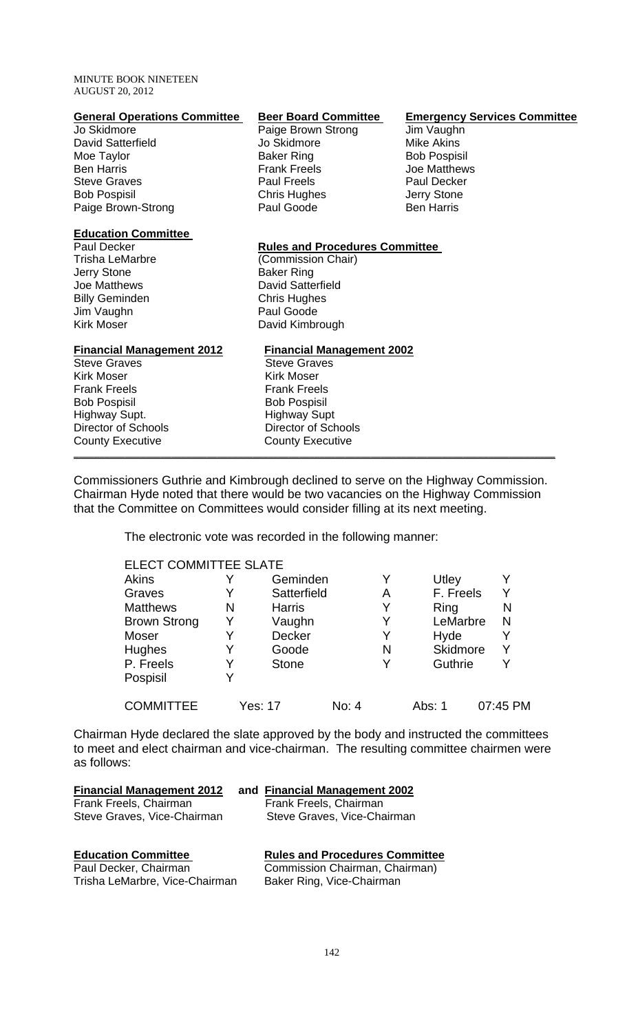| <b>General Operations Committee</b> | <b>Beer Board Committee</b>           | <b>Emergency Services Committee</b> |
|-------------------------------------|---------------------------------------|-------------------------------------|
| Jo Skidmore                         | Paige Brown Strong                    | Jim Vaughn                          |
| David Satterfield                   | Jo Skidmore                           | <b>Mike Akins</b>                   |
| Moe Taylor                          | <b>Baker Ring</b>                     | <b>Bob Pospisil</b>                 |
| <b>Ben Harris</b>                   | <b>Frank Freels</b>                   | Joe Matthews                        |
| <b>Steve Graves</b>                 | <b>Paul Freels</b>                    | <b>Paul Decker</b>                  |
| <b>Bob Pospisil</b>                 | Chris Hughes                          | Jerry Stone                         |
| Paige Brown-Strong                  | Paul Goode                            | <b>Ben Harris</b>                   |
| <b>Education Committee</b>          |                                       |                                     |
| Paul Decker                         | <b>Rules and Procedures Committee</b> |                                     |
| <b>Trisha LeMarbre</b>              | (Commission Chair)                    |                                     |
| Jerry Stone                         | <b>Baker Ring</b>                     |                                     |
| Joe Matthews                        | <b>David Satterfield</b>              |                                     |
| <b>Billy Geminden</b>               | <b>Chris Hughes</b>                   |                                     |
| Jim Vaughn                          | Paul Goode                            |                                     |
| <b>Kirk Moser</b>                   | David Kimbrough                       |                                     |
| <b>Financial Management 2012</b>    | <b>Financial Management 2002</b>      |                                     |
| <b>Steve Graves</b>                 | <b>Steve Graves</b>                   |                                     |
| Kirk Moser                          | <b>Kirk Moser</b>                     |                                     |
| <b>Frank Freels</b>                 | <b>Frank Freels</b>                   |                                     |
| <b>Bob Pospisil</b>                 | <b>Bob Pospisil</b>                   |                                     |
| Highway Supt.                       | <b>Highway Supt</b>                   |                                     |
| <b>Director of Schools</b>          | <b>Director of Schools</b>            |                                     |
| <b>County Executive</b>             | <b>County Executive</b>               |                                     |
|                                     |                                       |                                     |

Commissioners Guthrie and Kimbrough declined to serve on the Highway Commission. Chairman Hyde noted that there would be two vacancies on the Highway Commission that the Committee on Committees would consider filling at its next meeting.

The electronic vote was recorded in the following manner:

| <b>ELECT COMMITTEE SLATE</b> |   |               |       |   |           |          |
|------------------------------|---|---------------|-------|---|-----------|----------|
| <b>Akins</b>                 |   | Geminden      |       | Y | Utley     | Y        |
| Graves                       |   | Satterfield   |       | Α | F. Freels | Y        |
| <b>Matthews</b>              | N | <b>Harris</b> |       | Y | Ring      | N        |
| <b>Brown Strong</b>          | Y | Vaughn        |       | Y | LeMarbre  | N        |
| Moser                        |   | Decker        |       | Y | Hyde      | Y        |
| Hughes                       | Y | Goode         |       | N | Skidmore  | Y        |
| P. Freels                    |   | <b>Stone</b>  |       | Y | Guthrie   | Y        |
| Pospisil                     |   |               |       |   |           |          |
| <b>COMMITTEE</b>             |   | Yes: 17       | No: 4 |   | Abs: 1    | 07:45 PM |

Chairman Hyde declared the slate approved by the body and instructed the committees to meet and elect chairman and vice-chairman. The resulting committee chairmen were as follows:

| <b>Financial Management 2012</b>                        | and Financial Management 2002                               |
|---------------------------------------------------------|-------------------------------------------------------------|
| Frank Freels, Chairman                                  | Frank Freels, Chairman                                      |
| Steve Graves, Vice-Chairman                             | Steve Graves, Vice-Chairman                                 |
| <b>Education Committee</b>                              | <b>Rules and Procedures Committee</b>                       |
| Paul Decker, Chairman<br>Trisha LeMarbre, Vice-Chairman | Commission Chairman, Chairman)<br>Baker Ring, Vice-Chairman |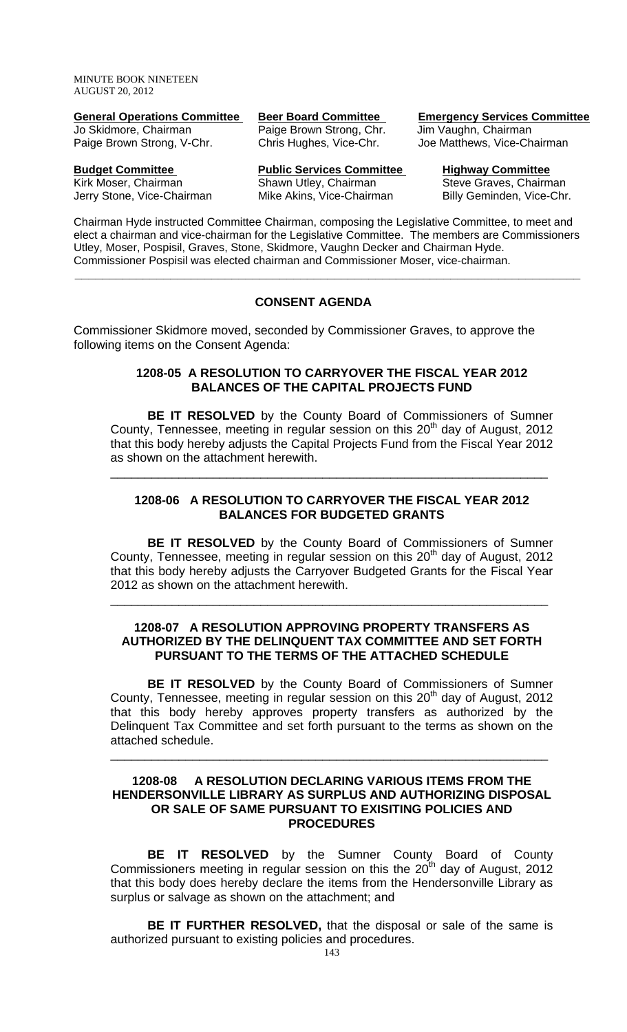| General Operations Committee | Deel Doard Communice     |
|------------------------------|--------------------------|
| Jo Skidmore, Chairman        | Paige Brown Strong, Chr. |
| Paige Brown Strong, V-Chr.   | Chris Hughes, Vice-Chr.  |
|                              |                          |

**Budget Committee Fublic Services Committee Highway Committee Highway Committee Kirk Moser, Chairm Committee Kirk Moser, Chairm Chairm** Jerry Stone, Vice-Chairman Mike Akins, Vice-Chairman Billy Geminden, Vice-Chr.

**General Operations Committee Beer Board Committee Emergency Services Committee** Jim Vaughn, Chairman

Joe Matthews, Vice-Chairman

Steve Graves, Chairman

Chairman Hyde instructed Committee Chairman, composing the Legislative Committee, to meet and elect a chairman and vice-chairman for the Legislative Committee. The members are Commissioners Utley, Moser, Pospisil, Graves, Stone, Skidmore, Vaughn Decker and Chairman Hyde. Commissioner Pospisil was elected chairman and Commissioner Moser, vice-chairman.

 **\_\_\_\_\_\_\_\_\_\_\_\_\_\_\_\_\_\_\_\_\_\_\_\_\_\_\_\_\_\_\_\_\_\_\_\_\_\_\_\_\_\_\_\_\_\_\_\_\_\_\_\_\_\_\_\_\_\_\_\_\_\_\_\_\_\_\_\_\_\_\_\_\_\_** 

# **CONSENT AGENDA**

Commissioner Skidmore moved, seconded by Commissioner Graves, to approve the following items on the Consent Agenda:

## **1208-05 A RESOLUTION TO CARRYOVER THE FISCAL YEAR 2012 BALANCES OF THE CAPITAL PROJECTS FUND**

**BE IT RESOLVED** by the County Board of Commissioners of Sumner County, Tennessee, meeting in regular session on this  $20<sup>th</sup>$  day of August, 2012 that this body hereby adjusts the Capital Projects Fund from the Fiscal Year 2012 as shown on the attachment herewith.

\_\_\_\_\_\_\_\_\_\_\_\_\_\_\_\_\_\_\_\_\_\_\_\_\_\_\_\_\_\_\_\_\_\_\_\_\_\_\_\_\_\_\_\_\_\_\_\_\_\_\_\_\_\_\_\_\_\_\_\_\_\_\_\_

## **1208-06 A RESOLUTION TO CARRYOVER THE FISCAL YEAR 2012 BALANCES FOR BUDGETED GRANTS**

**BE IT RESOLVED** by the County Board of Commissioners of Sumner County, Tennessee, meeting in regular session on this  $20<sup>th</sup>$  day of August, 2012 that this body hereby adjusts the Carryover Budgeted Grants for the Fiscal Year 2012 as shown on the attachment herewith.

\_\_\_\_\_\_\_\_\_\_\_\_\_\_\_\_\_\_\_\_\_\_\_\_\_\_\_\_\_\_\_\_\_\_\_\_\_\_\_\_\_\_\_\_\_\_\_\_\_\_\_\_\_\_\_\_\_\_\_\_\_\_\_\_

## **1208-07 A RESOLUTION APPROVING PROPERTY TRANSFERS AS AUTHORIZED BY THE DELINQUENT TAX COMMITTEE AND SET FORTH PURSUANT TO THE TERMS OF THE ATTACHED SCHEDULE**

**BE IT RESOLVED** by the County Board of Commissioners of Sumner County, Tennessee, meeting in regular session on this 20<sup>th</sup> day of August, 2012 that this body hereby approves property transfers as authorized by the Delinquent Tax Committee and set forth pursuant to the terms as shown on the attached schedule.

#### **1208-08 A RESOLUTION DECLARING VARIOUS ITEMS FROM THE HENDERSONVILLE LIBRARY AS SURPLUS AND AUTHORIZING DISPOSAL OR SALE OF SAME PURSUANT TO EXISITING POLICIES AND PROCEDURES**

\_\_\_\_\_\_\_\_\_\_\_\_\_\_\_\_\_\_\_\_\_\_\_\_\_\_\_\_\_\_\_\_\_\_\_\_\_\_\_\_\_\_\_\_\_\_\_\_\_\_\_\_\_\_\_\_\_\_\_\_\_\_\_\_

 **BE IT RESOLVED** by the Sumner County Board of County Commissioners meeting in regular session on this the  $20<sup>th</sup>$  day of August, 2012 that this body does hereby declare the items from the Hendersonville Library as surplus or salvage as shown on the attachment; and

**BE IT FURTHER RESOLVED,** that the disposal or sale of the same is authorized pursuant to existing policies and procedures.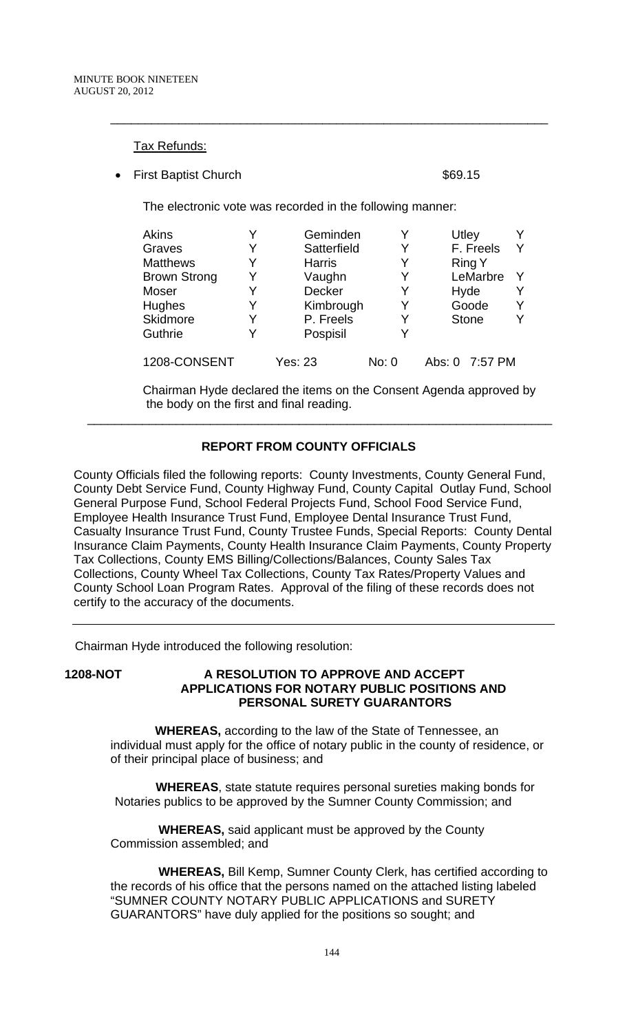## Tax Refunds:

**First Baptist Church \$69.15** 

The electronic vote was recorded in the following manner:

| Akins               |   | Geminden      |       | Utley          |  |
|---------------------|---|---------------|-------|----------------|--|
| Graves              | Y | Satterfield   | Y     | F. Freels      |  |
| <b>Matthews</b>     | Y | <b>Harris</b> | Y     | <b>Ring Y</b>  |  |
| <b>Brown Strong</b> |   | Vaughn        | Y     | LeMarbre       |  |
| Moser               |   | <b>Decker</b> | Y     | Hyde           |  |
| Hughes              |   | Kimbrough     | Y     | Goode          |  |
| Skidmore            |   | P. Freels     | Y     | <b>Stone</b>   |  |
| Guthrie             |   | Pospisil      | Y     |                |  |
| 1208-CONSENT        |   | Yes: 23       | No: 0 | Abs: 0 7:57 PM |  |

\_\_\_\_\_\_\_\_\_\_\_\_\_\_\_\_\_\_\_\_\_\_\_\_\_\_\_\_\_\_\_\_\_\_\_\_\_\_\_\_\_\_\_\_\_\_\_\_\_\_\_\_\_\_\_\_\_\_\_\_\_\_\_\_

Chairman Hyde declared the items on the Consent Agenda approved by the body on the first and final reading.

# **REPORT FROM COUNTY OFFICIALS**

 $\overline{\phantom{a}}$  , and the contribution of the contribution of the contribution of the contribution of the contribution of  $\overline{\phantom{a}}$ 

County Officials filed the following reports: County Investments, County General Fund, County Debt Service Fund, County Highway Fund, County Capital Outlay Fund, School General Purpose Fund, School Federal Projects Fund, School Food Service Fund, Employee Health Insurance Trust Fund, Employee Dental Insurance Trust Fund, Casualty Insurance Trust Fund, County Trustee Funds, Special Reports: County Dental Insurance Claim Payments, County Health Insurance Claim Payments, County Property Tax Collections, County EMS Billing/Collections/Balances, County Sales Tax Collections, County Wheel Tax Collections, County Tax Rates/Property Values and County School Loan Program Rates. Approval of the filing of these records does not certify to the accuracy of the documents.

Chairman Hyde introduced the following resolution:

**1208-NOT A RESOLUTION TO APPROVE AND ACCEPT APPLICATIONS FOR NOTARY PUBLIC POSITIONS AND PERSONAL SURETY GUARANTORS** 

> **WHEREAS,** according to the law of the State of Tennessee, an individual must apply for the office of notary public in the county of residence, or of their principal place of business; and

 **WHEREAS**, state statute requires personal sureties making bonds for Notaries publics to be approved by the Sumner County Commission; and

 **WHEREAS,** said applicant must be approved by the County Commission assembled; and

 **WHEREAS,** Bill Kemp, Sumner County Clerk, has certified according to the records of his office that the persons named on the attached listing labeled "SUMNER COUNTY NOTARY PUBLIC APPLICATIONS and SURETY GUARANTORS" have duly applied for the positions so sought; and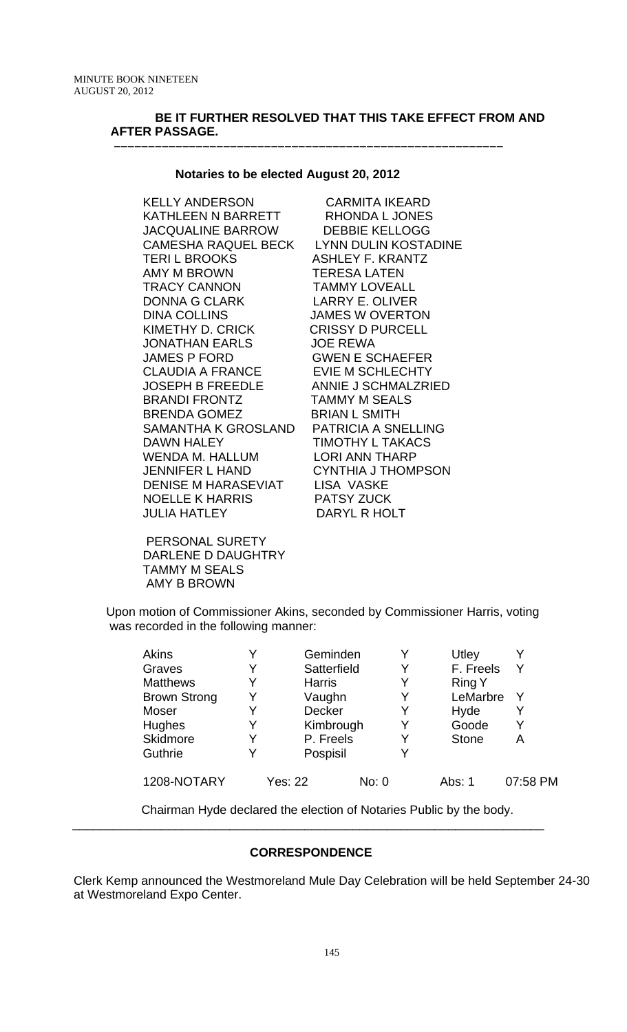## **BE IT FURTHER RESOLVED THAT THIS TAKE EFFECT FROM AND AFTER PASSAGE.**

#### **Notaries to be elected August 20, 2012**

 **–––––––––––––––––––––––––––––––––––––––––––––––––––––––––**

KELLY ANDERSON CARMITA IKEARD KATHLEEN N BARRETT RHONDA L JONES JACQUALINE BARROW DEBBIE KELLOGG CAMESHA RAQUEL BECK LYNN DULIN KOSTADINE TERI L BROOKS ASHLEY F. KRANTZ AMY M BROWN TERESA LATEN TRACY CANNON TAMMY LOVEALL DONNA G CLARK LARRY E. OLIVER DINA COLLINS JAMES W OVERTON KIMETHY D. CRICK CRISSY D PURCELL JONATHAN EARLS JOE REWA JAMES P FORD GWEN E SCHAEFER CLAUDIA A FRANCE EVIE M SCHLECHTY JOSEPH B FREEDLE ANNIE J SCHMALZRIED BRANDI FRONTZ TAMMY M SEALS BRENDA GOMEZ BRIAN L SMITH SAMANTHA K GROSLAND PATRICIA A SNELLING DAWN HALEY **TIMOTHY L TAKACS** WENDA M. HALLUM LORI ANN THARP JENNIFER L HAND CYNTHIA J THOMPSON DENISE M HARASEVIAT LISA VASKE NOELLE K HARRIS PATSY ZUCK JULIA HATLEY DARYL R HOLT

 PERSONAL SURETY DARLENE D DAUGHTRY TAMMY M SEALS AMY B BROWN

Upon motion of Commissioner Akins, seconded by Commissioner Harris, voting was recorded in the following manner:

| <b>Akins</b>        |   | Geminden      |       | Utley         |          |
|---------------------|---|---------------|-------|---------------|----------|
| Graves              | Y | Satterfield   |       | F. Freels     | Y        |
| <b>Matthews</b>     | v | <b>Harris</b> | Y     | <b>Ring Y</b> |          |
| <b>Brown Strong</b> | Y | Vaughn        |       | LeMarbre      | Y        |
| Moser               | Y | Decker        | Y     | Hyde          | Y        |
| Hughes              | Y | Kimbrough     | Y     | Goode         | v        |
| Skidmore            | v | P. Freels     | v     | <b>Stone</b>  | А        |
| Guthrie             |   | Pospisil      |       |               |          |
| 1208-NOTARY         |   | Yes: 22       | No: 0 | Abs: 1        | 07:58 PM |

Chairman Hyde declared the election of Notaries Public by the body.

# **CORRESPONDENCE**

\_\_\_\_\_\_\_\_\_\_\_\_\_\_\_\_\_\_\_\_\_\_\_\_\_\_\_\_\_\_\_\_\_\_\_\_\_\_\_\_\_\_\_\_\_\_\_\_\_\_\_\_\_\_\_\_\_\_\_\_\_\_\_\_\_\_\_\_\_

Clerk Kemp announced the Westmoreland Mule Day Celebration will be held September 24-30 at Westmoreland Expo Center.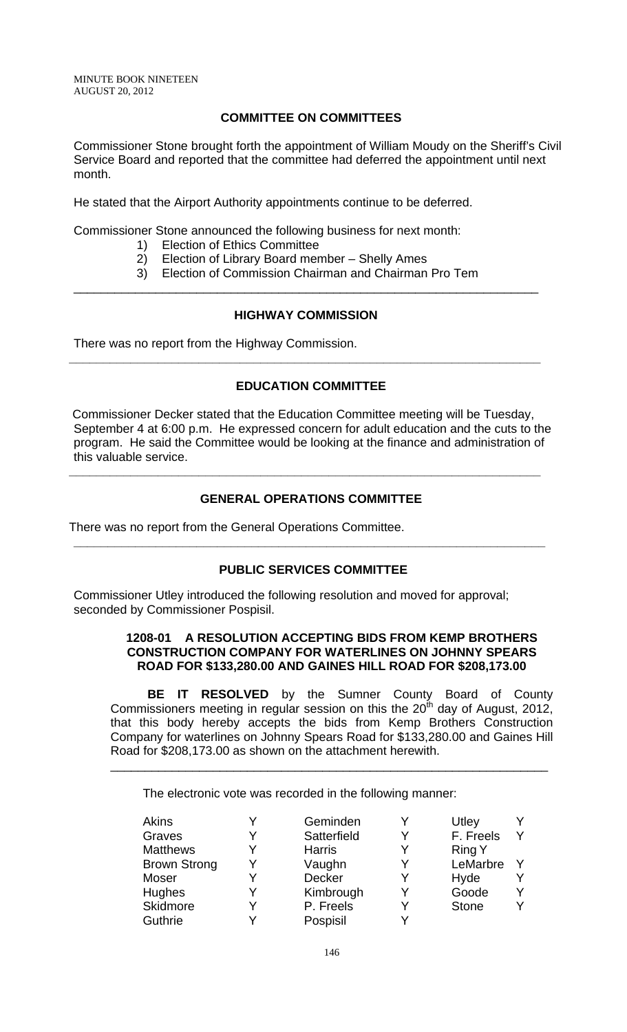## **COMMITTEE ON COMMITTEES**

Commissioner Stone brought forth the appointment of William Moudy on the Sheriff's Civil Service Board and reported that the committee had deferred the appointment until next month.

He stated that the Airport Authority appointments continue to be deferred.

Commissioner Stone announced the following business for next month:

- 1) Election of Ethics Committee
- 2) Election of Library Board member Shelly Ames
- 3) Election of Commission Chairman and Chairman Pro Tem \_\_\_\_\_\_\_\_\_\_\_\_\_\_\_\_\_\_\_\_\_\_\_\_\_\_\_\_\_\_\_\_\_\_\_\_\_\_\_\_\_\_\_\_\_\_\_\_\_\_\_\_\_\_\_\_\_\_\_\_\_\_\_\_\_\_\_\_

## **HIGHWAY COMMISSION**

**\_\_\_\_\_\_\_\_\_\_\_\_\_\_\_\_\_\_\_\_\_\_\_\_\_\_\_\_\_\_\_\_\_\_\_\_\_\_\_\_\_\_\_\_\_\_\_\_\_\_\_\_\_\_\_\_\_\_\_\_\_\_\_\_\_\_\_\_\_** 

There was no report from the Highway Commission.

## **EDUCATION COMMITTEE**

 Commissioner Decker stated that the Education Committee meeting will be Tuesday, September 4 at 6:00 p.m. He expressed concern for adult education and the cuts to the program. He said the Committee would be looking at the finance and administration of this valuable service.

## **GENERAL OPERATIONS COMMITTEE**

**\_\_\_\_\_\_\_\_\_\_\_\_\_\_\_\_\_\_\_\_\_\_\_\_\_\_\_\_\_\_\_\_\_\_\_\_\_\_\_\_\_\_\_\_\_\_\_\_\_\_\_\_\_\_\_\_\_\_\_\_\_\_\_\_\_\_\_\_\_** 

There was no report from the General Operations Committee.

#### **PUBLIC SERVICES COMMITTEE**

**\_\_\_\_\_\_\_\_\_\_\_\_\_\_\_\_\_\_\_\_\_\_\_\_\_\_\_\_\_\_\_\_\_\_\_\_\_\_\_\_\_\_\_\_\_\_\_\_\_\_\_\_\_\_\_\_\_\_\_\_\_\_\_\_\_\_\_\_\_** 

Commissioner Utley introduced the following resolution and moved for approval; seconded by Commissioner Pospisil.

## **1208-01 A RESOLUTION ACCEPTING BIDS FROM KEMP BROTHERS CONSTRUCTION COMPANY FOR WATERLINES ON JOHNNY SPEARS ROAD FOR \$133,280.00 AND GAINES HILL ROAD FOR \$208,173.00**

 **BE IT RESOLVED** by the Sumner County Board of County Commissioners meeting in regular session on this the  $20<sup>th</sup>$  day of August, 2012, that this body hereby accepts the bids from Kemp Brothers Construction Company for waterlines on Johnny Spears Road for \$133,280.00 and Gaines Hill Road for \$208,173.00 as shown on the attachment herewith.

\_\_\_\_\_\_\_\_\_\_\_\_\_\_\_\_\_\_\_\_\_\_\_\_\_\_\_\_\_\_\_\_\_\_\_\_\_\_\_\_\_\_\_\_\_\_\_\_\_\_\_\_\_\_\_\_\_\_\_\_\_\_\_\_

The electronic vote was recorded in the following manner:

| <b>Akins</b>        |   | Geminden      |   | Utley         |  |
|---------------------|---|---------------|---|---------------|--|
| Graves              | v | Satterfield   | v | F. Freels     |  |
| <b>Matthews</b>     |   | <b>Harris</b> |   | <b>Ring Y</b> |  |
| <b>Brown Strong</b> |   | Vaughn        |   | LeMarbre      |  |
| Moser               |   | <b>Decker</b> |   | Hyde          |  |
| <b>Hughes</b>       |   | Kimbrough     | v | Goode         |  |
| <b>Skidmore</b>     |   | P. Freels     |   | <b>Stone</b>  |  |
| Guthrie             |   | Pospisil      |   |               |  |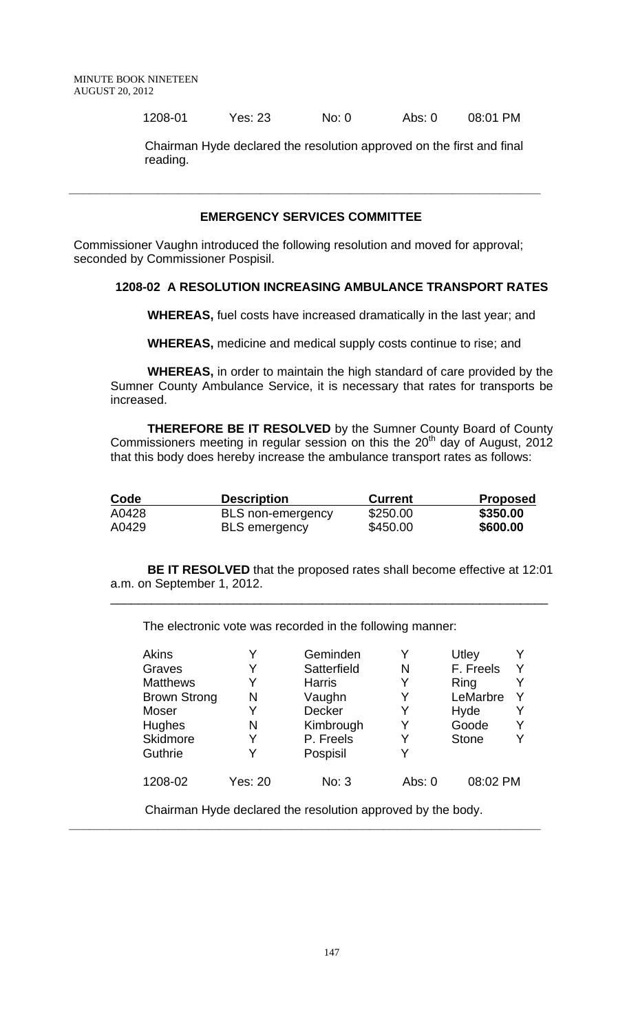1208-01 Yes: 23 No: 0 Abs: 0 08:01 PM

 Chairman Hyde declared the resolution approved on the first and final reading.

## **EMERGENCY SERVICES COMMITTEE**

**\_\_\_\_\_\_\_\_\_\_\_\_\_\_\_\_\_\_\_\_\_\_\_\_\_\_\_\_\_\_\_\_\_\_\_\_\_\_\_\_\_\_\_\_\_\_\_\_\_\_\_\_\_\_\_\_\_\_\_\_\_\_\_\_\_\_\_\_\_** 

Commissioner Vaughn introduced the following resolution and moved for approval; seconded by Commissioner Pospisil.

## **1208-02 A RESOLUTION INCREASING AMBULANCE TRANSPORT RATES**

 **WHEREAS,** fuel costs have increased dramatically in the last year; and

**WHEREAS,** medicine and medical supply costs continue to rise; and

**WHEREAS,** in order to maintain the high standard of care provided by the Sumner County Ambulance Service, it is necessary that rates for transports be increased.

**THEREFORE BE IT RESOLVED** by the Sumner County Board of County Commissioners meeting in regular session on this the  $20<sup>th</sup>$  day of August, 2012 that this body does hereby increase the ambulance transport rates as follows:

| Code  | <b>Description</b>   | <b>Current</b> | <b>Proposed</b> |
|-------|----------------------|----------------|-----------------|
| A0428 | BLS non-emergency    | \$250.00       | \$350.00        |
| A0429 | <b>BLS</b> emergency | \$450.00       | \$600.00        |

 **BE IT RESOLVED** that the proposed rates shall become effective at 12:01 a.m. on September 1, 2012.

\_\_\_\_\_\_\_\_\_\_\_\_\_\_\_\_\_\_\_\_\_\_\_\_\_\_\_\_\_\_\_\_\_\_\_\_\_\_\_\_\_\_\_\_\_\_\_\_\_\_\_\_\_\_\_\_\_\_\_\_\_\_\_\_

The electronic vote was recorded in the following manner:

| <b>Akins</b>        |         | Geminden      |        | Utley        |  |
|---------------------|---------|---------------|--------|--------------|--|
| Graves              |         | Satterfield   | N      | F. Freels    |  |
| <b>Matthews</b>     |         | <b>Harris</b> |        | Ring         |  |
| <b>Brown Strong</b> | N       | Vaughn        |        | LeMarbre     |  |
| Moser               |         | <b>Decker</b> |        | Hyde         |  |
| Hughes              | N       | Kimbrough     |        | Goode        |  |
| Skidmore            | Y       | P. Freels     |        | <b>Stone</b> |  |
| Guthrie             |         | Pospisil      |        |              |  |
| 1208-02             | Yes: 20 | No: 3         | Abs: 0 | 08:02 PM     |  |

Chairman Hyde declared the resolution approved by the body.

**\_\_\_\_\_\_\_\_\_\_\_\_\_\_\_\_\_\_\_\_\_\_\_\_\_\_\_\_\_\_\_\_\_\_\_\_\_\_\_\_\_\_\_\_\_\_\_\_\_\_\_\_\_\_\_\_\_\_\_\_\_\_\_\_\_\_\_\_\_**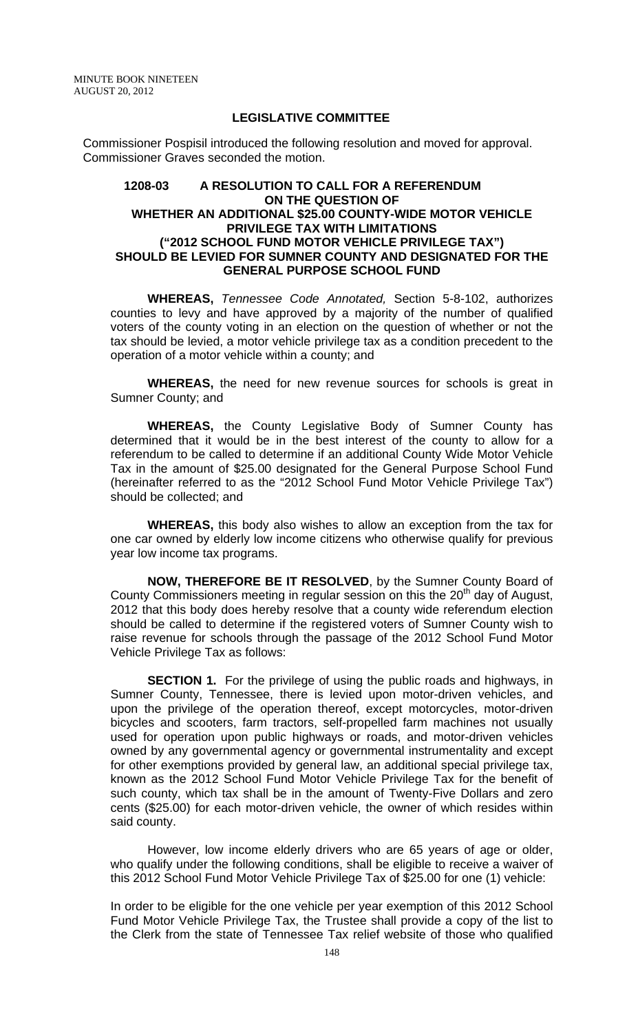#### **LEGISLATIVE COMMITTEE**

Commissioner Pospisil introduced the following resolution and moved for approval. Commissioner Graves seconded the motion.

## **1208-03 A RESOLUTION TO CALL FOR A REFERENDUM ON THE QUESTION OF WHETHER AN ADDITIONAL \$25.00 COUNTY-WIDE MOTOR VEHICLE PRIVILEGE TAX WITH LIMITATIONS ("2012 SCHOOL FUND MOTOR VEHICLE PRIVILEGE TAX") SHOULD BE LEVIED FOR SUMNER COUNTY AND DESIGNATED FOR THE GENERAL PURPOSE SCHOOL FUND**

**WHEREAS,** *Tennessee Code Annotated,* Section 5-8-102, authorizes counties to levy and have approved by a majority of the number of qualified voters of the county voting in an election on the question of whether or not the tax should be levied, a motor vehicle privilege tax as a condition precedent to the operation of a motor vehicle within a county; and

**WHEREAS,** the need for new revenue sources for schools is great in Sumner County; and

**WHEREAS,** the County Legislative Body of Sumner County has determined that it would be in the best interest of the county to allow for a referendum to be called to determine if an additional County Wide Motor Vehicle Tax in the amount of \$25.00 designated for the General Purpose School Fund (hereinafter referred to as the "2012 School Fund Motor Vehicle Privilege Tax") should be collected; and

**WHEREAS,** this body also wishes to allow an exception from the tax for one car owned by elderly low income citizens who otherwise qualify for previous year low income tax programs.

**NOW, THEREFORE BE IT RESOLVED**, by the Sumner County Board of County Commissioners meeting in regular session on this the  $20<sup>th</sup>$  day of August, 2012 that this body does hereby resolve that a county wide referendum election should be called to determine if the registered voters of Sumner County wish to raise revenue for schools through the passage of the 2012 School Fund Motor Vehicle Privilege Tax as follows:

**SECTION 1.** For the privilege of using the public roads and highways, in Sumner County, Tennessee, there is levied upon motor-driven vehicles, and upon the privilege of the operation thereof, except motorcycles, motor-driven bicycles and scooters, farm tractors, self-propelled farm machines not usually used for operation upon public highways or roads, and motor-driven vehicles owned by any governmental agency or governmental instrumentality and except for other exemptions provided by general law, an additional special privilege tax, known as the 2012 School Fund Motor Vehicle Privilege Tax for the benefit of such county, which tax shall be in the amount of Twenty-Five Dollars and zero cents (\$25.00) for each motor-driven vehicle, the owner of which resides within said county.

However, low income elderly drivers who are 65 years of age or older, who qualify under the following conditions, shall be eligible to receive a waiver of this 2012 School Fund Motor Vehicle Privilege Tax of \$25.00 for one (1) vehicle:

In order to be eligible for the one vehicle per year exemption of this 2012 School Fund Motor Vehicle Privilege Tax, the Trustee shall provide a copy of the list to the Clerk from the state of Tennessee Tax relief website of those who qualified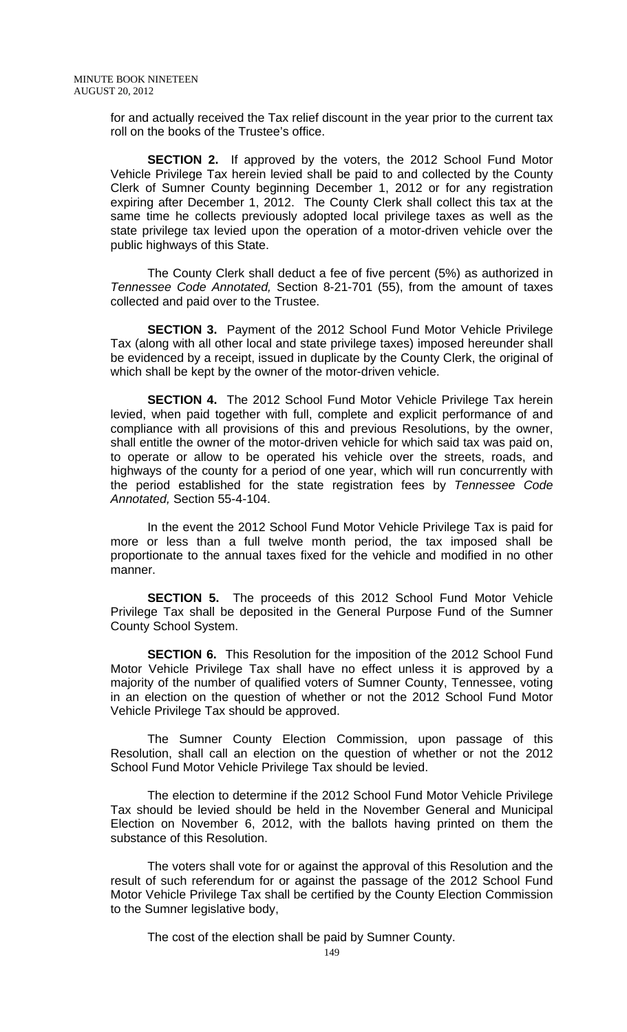for and actually received the Tax relief discount in the year prior to the current tax roll on the books of the Trustee's office.

**SECTION 2.** If approved by the voters, the 2012 School Fund Motor Vehicle Privilege Tax herein levied shall be paid to and collected by the County Clerk of Sumner County beginning December 1, 2012 or for any registration expiring after December 1, 2012. The County Clerk shall collect this tax at the same time he collects previously adopted local privilege taxes as well as the state privilege tax levied upon the operation of a motor-driven vehicle over the public highways of this State.

The County Clerk shall deduct a fee of five percent (5%) as authorized in *Tennessee Code Annotated,* Section 8-21-701 (55), from the amount of taxes collected and paid over to the Trustee.

**SECTION 3.** Payment of the 2012 School Fund Motor Vehicle Privilege Tax (along with all other local and state privilege taxes) imposed hereunder shall be evidenced by a receipt, issued in duplicate by the County Clerk, the original of which shall be kept by the owner of the motor-driven vehicle.

**SECTION 4.** The 2012 School Fund Motor Vehicle Privilege Tax herein levied, when paid together with full, complete and explicit performance of and compliance with all provisions of this and previous Resolutions, by the owner, shall entitle the owner of the motor-driven vehicle for which said tax was paid on, to operate or allow to be operated his vehicle over the streets, roads, and highways of the county for a period of one year, which will run concurrently with the period established for the state registration fees by *Tennessee Code Annotated,* Section 55-4-104.

In the event the 2012 School Fund Motor Vehicle Privilege Tax is paid for more or less than a full twelve month period, the tax imposed shall be proportionate to the annual taxes fixed for the vehicle and modified in no other manner.

 **SECTION 5.** The proceeds of this 2012 School Fund Motor Vehicle Privilege Tax shall be deposited in the General Purpose Fund of the Sumner County School System.

**SECTION 6.** This Resolution for the imposition of the 2012 School Fund Motor Vehicle Privilege Tax shall have no effect unless it is approved by a majority of the number of qualified voters of Sumner County, Tennessee, voting in an election on the question of whether or not the 2012 School Fund Motor Vehicle Privilege Tax should be approved.

The Sumner County Election Commission, upon passage of this Resolution, shall call an election on the question of whether or not the 2012 School Fund Motor Vehicle Privilege Tax should be levied.

The election to determine if the 2012 School Fund Motor Vehicle Privilege Tax should be levied should be held in the November General and Municipal Election on November 6, 2012, with the ballots having printed on them the substance of this Resolution.

The voters shall vote for or against the approval of this Resolution and the result of such referendum for or against the passage of the 2012 School Fund Motor Vehicle Privilege Tax shall be certified by the County Election Commission to the Sumner legislative body,

The cost of the election shall be paid by Sumner County.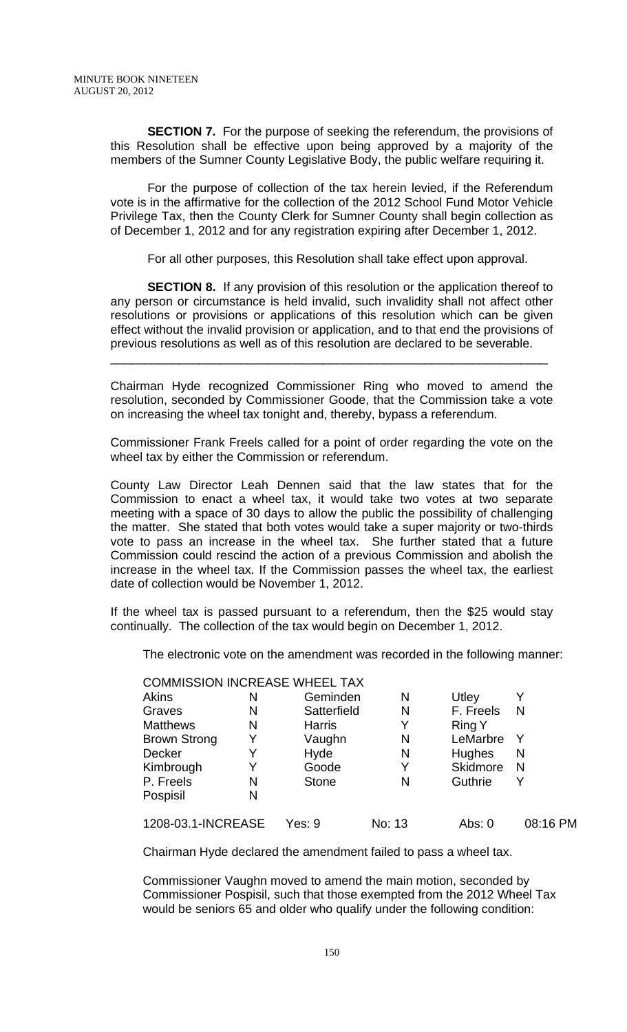**SECTION 7.** For the purpose of seeking the referendum, the provisions of this Resolution shall be effective upon being approved by a majority of the members of the Sumner County Legislative Body, the public welfare requiring it.

For the purpose of collection of the tax herein levied, if the Referendum vote is in the affirmative for the collection of the 2012 School Fund Motor Vehicle Privilege Tax, then the County Clerk for Sumner County shall begin collection as of December 1, 2012 and for any registration expiring after December 1, 2012.

For all other purposes, this Resolution shall take effect upon approval.

**SECTION 8.** If any provision of this resolution or the application thereof to any person or circumstance is held invalid, such invalidity shall not affect other resolutions or provisions or applications of this resolution which can be given effect without the invalid provision or application, and to that end the provisions of previous resolutions as well as of this resolution are declared to be severable.

\_\_\_\_\_\_\_\_\_\_\_\_\_\_\_\_\_\_\_\_\_\_\_\_\_\_\_\_\_\_\_\_\_\_\_\_\_\_\_\_\_\_\_\_\_\_\_\_\_\_\_\_\_\_\_\_\_\_\_\_\_\_\_\_

Chairman Hyde recognized Commissioner Ring who moved to amend the resolution, seconded by Commissioner Goode, that the Commission take a vote on increasing the wheel tax tonight and, thereby, bypass a referendum.

Commissioner Frank Freels called for a point of order regarding the vote on the wheel tax by either the Commission or referendum.

County Law Director Leah Dennen said that the law states that for the Commission to enact a wheel tax, it would take two votes at two separate meeting with a space of 30 days to allow the public the possibility of challenging the matter. She stated that both votes would take a super majority or two-thirds vote to pass an increase in the wheel tax. She further stated that a future Commission could rescind the action of a previous Commission and abolish the increase in the wheel tax. If the Commission passes the wheel tax, the earliest date of collection would be November 1, 2012.

If the wheel tax is passed pursuant to a referendum, then the \$25 would stay continually. The collection of the tax would begin on December 1, 2012.

The electronic vote on the amendment was recorded in the following manner:

|                     |   | <b>COMMISSION INCREASE WHEEL TAX</b> |        |                 |          |
|---------------------|---|--------------------------------------|--------|-----------------|----------|
| Akins               | N | Geminden                             | N      | Utley           | Y        |
| Graves              | N | Satterfield                          | N      | F. Freels       | N        |
| <b>Matthews</b>     | N | <b>Harris</b>                        | Y      | <b>Ring Y</b>   |          |
| <b>Brown Strong</b> | Y | Vaughn                               | N      | LeMarbre        | Y        |
| Decker              | Y | Hyde                                 | N      | Hughes          | N        |
| Kimbrough           | Y | Goode                                | Y      | <b>Skidmore</b> | N        |
| P. Freels           | N | <b>Stone</b>                         | N      | Guthrie         | Y        |
| Pospisil            | N |                                      |        |                 |          |
| 1208-03.1-INCREASE  |   | Yes: 9                               | No: 13 | Abs: $0$        | 08:16 PM |

Chairman Hyde declared the amendment failed to pass a wheel tax.

Commissioner Vaughn moved to amend the main motion, seconded by Commissioner Pospisil, such that those exempted from the 2012 Wheel Tax would be seniors 65 and older who qualify under the following condition: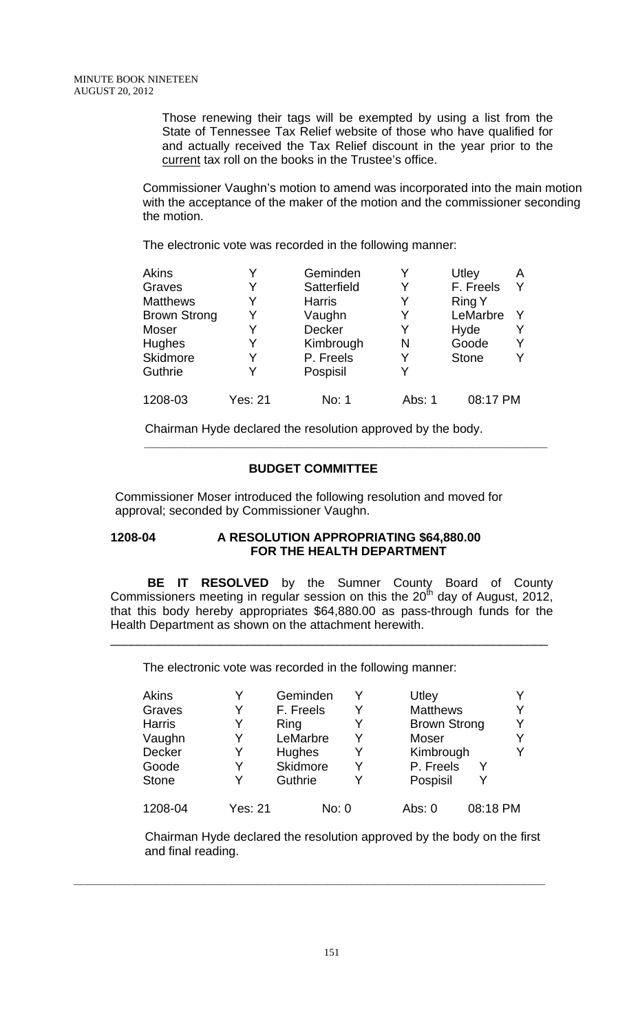Those renewing their tags will be exempted by using a list from the State of Tennessee Tax Relief website of those who have qualified for and actually received the Tax Relief discount in the year prior to the current tax roll on the books in the Trustee's office.

Commissioner Vaughn's motion to amend was incorporated into the main motion with the acceptance of the maker of the motion and the commissioner seconding the motion.

The electronic vote was recorded in the following manner:

| Akins               |                | Geminden      |        | Utley         | A |
|---------------------|----------------|---------------|--------|---------------|---|
| Graves              |                | Satterfield   | Y      | F. Freels     |   |
| <b>Matthews</b>     |                | <b>Harris</b> |        | <b>Ring Y</b> |   |
| <b>Brown Strong</b> |                | Vaughn        | Y      | LeMarbre      |   |
| Moser               |                | <b>Decker</b> | Y      | Hyde          |   |
| <b>Hughes</b>       | Y              | Kimbrough     | N      | Goode         |   |
| <b>Skidmore</b>     |                | P. Freels     | Y      | <b>Stone</b>  |   |
| <b>Guthrie</b>      |                | Pospisil      |        |               |   |
| 1208-03             | <b>Yes: 21</b> | No: 1         | Abs: 1 | 08:17 PM      |   |

 Chairman Hyde declared the resolution approved by the body.  **\_\_\_\_\_\_\_\_\_\_\_\_\_\_\_\_\_\_\_\_\_\_\_\_\_\_\_\_\_\_\_\_\_\_\_\_\_\_\_\_\_\_\_\_\_\_\_\_\_\_\_\_\_\_\_\_\_\_\_** 

# **BUDGET COMMITTEE**

Commissioner Moser introduced the following resolution and moved for approval; seconded by Commissioner Vaughn.

## **1208-04 A RESOLUTION APPROPRIATING \$64,880.00 FOR THE HEALTH DEPARTMENT**

**BE IT RESOLVED** by the Sumner County Board of County Commissioners meeting in regular session on this the  $20^{th}$  day of August, 2012, that this body hereby appropriates \$64,880.00 as pass-through funds for the Health Department as shown on the attachment herewith.

\_\_\_\_\_\_\_\_\_\_\_\_\_\_\_\_\_\_\_\_\_\_\_\_\_\_\_\_\_\_\_\_\_\_\_\_\_\_\_\_\_\_\_\_\_\_\_\_\_\_\_\_\_\_\_\_\_\_\_\_\_\_\_\_

The electronic vote was recorded in the following manner:

| <b>Akins</b>  | Y       | Geminden  |   | Utley               |  |
|---------------|---------|-----------|---|---------------------|--|
| Graves        | Y       | F. Freels | Y | <b>Matthews</b>     |  |
| <b>Harris</b> | Y       | Ring      | Y | <b>Brown Strong</b> |  |
| Vaughn        | Y       | LeMarbre  | Y | Moser               |  |
| Decker        | Y       | Hughes    |   | Kimbrough           |  |
| Goode         | Y       | Skidmore  |   | P. Freels           |  |
| <b>Stone</b>  | Y       | Guthrie   |   | Pospisil            |  |
| 1208-04       | Yes: 21 | No: 0     |   | 08:18 PM<br>Abs: 0  |  |

 Chairman Hyde declared the resolution approved by the body on the first and final reading.

**\_\_\_\_\_\_\_\_\_\_\_\_\_\_\_\_\_\_\_\_\_\_\_\_\_\_\_\_\_\_\_\_\_\_\_\_\_\_\_\_\_\_\_\_\_\_\_\_\_\_\_\_\_\_\_\_\_\_\_\_\_\_\_\_\_\_\_\_\_**